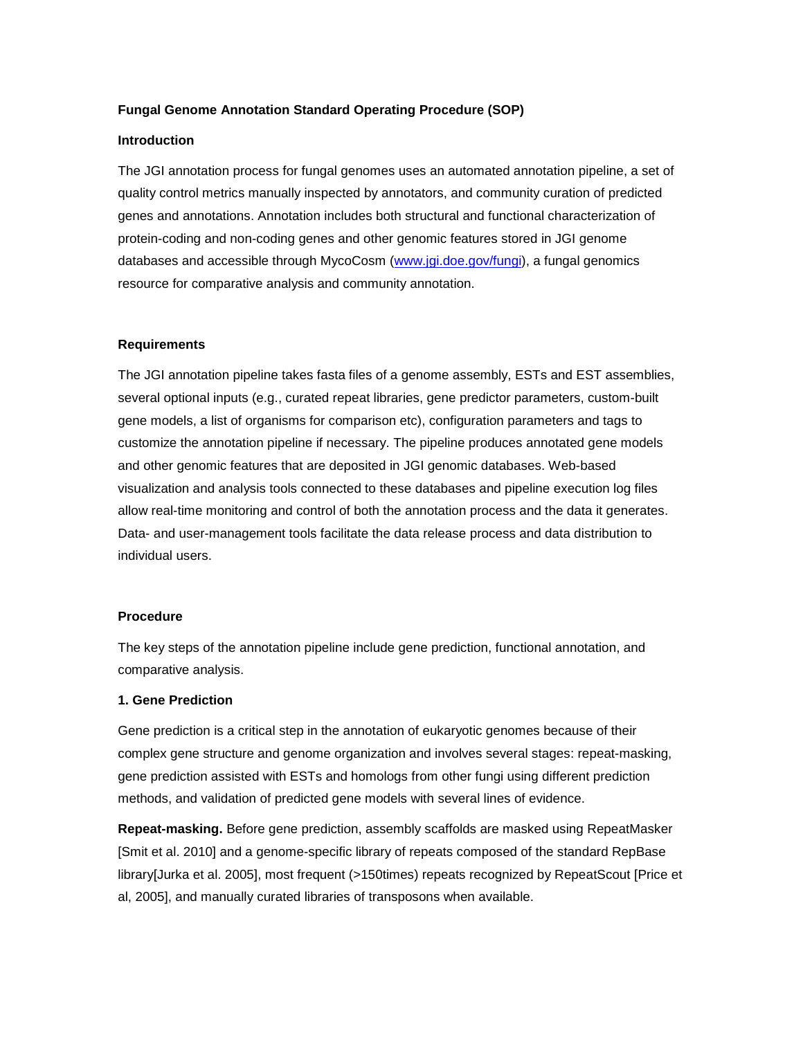## **Fungal Genome Annotation Standard Operating Procedure (SOP)**

### **Introduction**

The JGI annotation process for fungal genomes uses an automated annotation pipeline, a set of quality control metrics manually inspected by annotators, and community curation of predicted genes and annotations. Annotation includes both structural and functional characterization of protein-coding and non-coding genes and other genomic features stored in JGI genome databases and accessible through MycoCosm [\(www.jgi.doe.gov/fungi\)](http://www.jgi.doe.gov/fungi), a fungal genomics resource for comparative analysis and community annotation.

## **Requirements**

The JGI annotation pipeline takes fasta files of a genome assembly, ESTs and EST assemblies, several optional inputs (e.g., curated repeat libraries, gene predictor parameters, custom-built gene models, a list of organisms for comparison etc), configuration parameters and tags to customize the annotation pipeline if necessary. The pipeline produces annotated gene models and other genomic features that are deposited in JGI genomic databases. Web-based visualization and analysis tools connected to these databases and pipeline execution log files allow real-time monitoring and control of both the annotation process and the data it generates. Data- and user-management tools facilitate the data release process and data distribution to individual users.

### **Procedure**

The key steps of the annotation pipeline include gene prediction, functional annotation, and comparative analysis.

# **1. Gene Prediction**

Gene prediction is a critical step in the annotation of eukaryotic genomes because of their complex gene structure and genome organization and involves several stages: repeat-masking, gene prediction assisted with ESTs and homologs from other fungi using different prediction methods, and validation of predicted gene models with several lines of evidence.

**Repeat-masking.** Before gene prediction, assembly scaffolds are masked using RepeatMasker [Smit et al. 2010] and a genome-specific library of repeats composed of the standard RepBase library[Jurka et al. 2005], most frequent (>150times) repeats recognized by RepeatScout [Price et al, 2005], and manually curated libraries of transposons when available.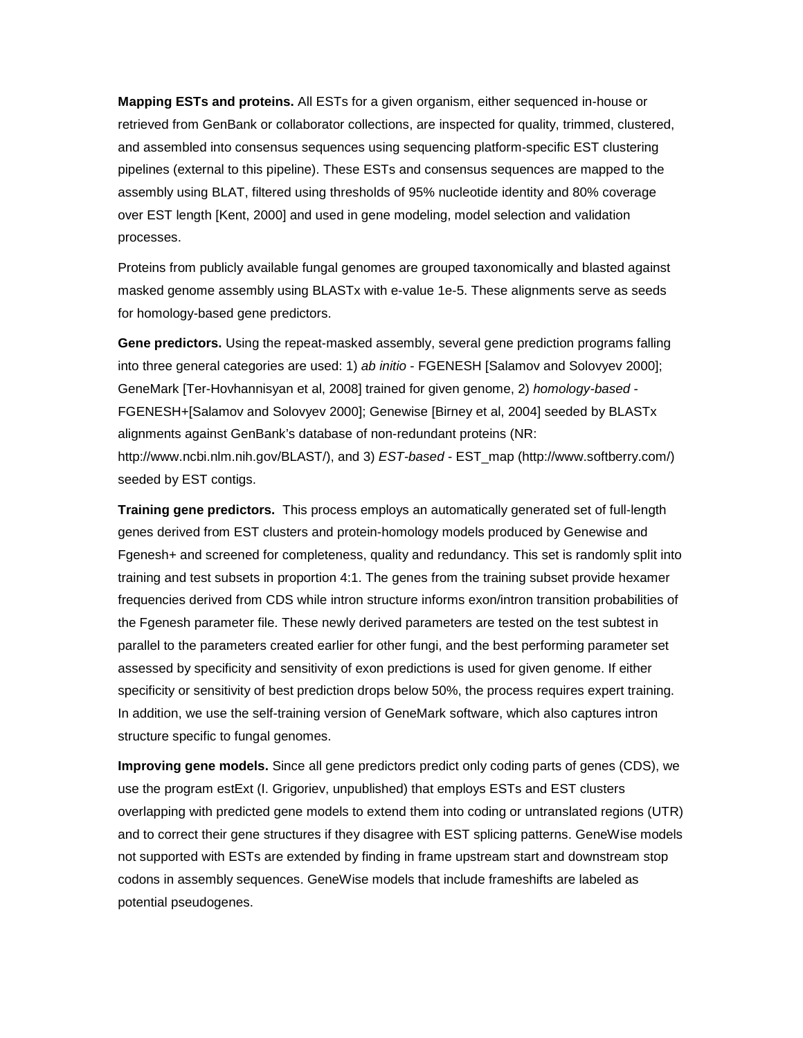**Mapping ESTs and proteins.** All ESTs for a given organism, either sequenced in-house or retrieved from GenBank or collaborator collections, are inspected for quality, trimmed, clustered, and assembled into consensus sequences using sequencing platform-specific EST clustering pipelines (external to this pipeline). These ESTs and consensus sequences are mapped to the assembly using BLAT, filtered using thresholds of 95% nucleotide identity and 80% coverage over EST length [Kent, 2000] and used in gene modeling, model selection and validation processes.

Proteins from publicly available fungal genomes are grouped taxonomically and blasted against masked genome assembly using BLASTx with e-value 1e-5. These alignments serve as seeds for homology-based gene predictors.

**Gene predictors.** Using the repeat-masked assembly, several gene prediction programs falling into three general categories are used: 1) *ab initio* - FGENESH [Salamov and Solovyev 2000]; GeneMark [Ter-Hovhannisyan et al, 2008] trained for given genome, 2) *homology-based* - FGENESH+[Salamov and Solovyev 2000]; Genewise [Birney et al, 2004] seeded by BLASTx alignments against GenBank's database of non-redundant proteins (NR: http://www.ncbi.nlm.nih.gov/BLAST/), and 3) *EST-based* - EST\_map (http://www.softberry.com/) seeded by EST contigs.

**Training gene predictors.** This process employs an automatically generated set of full-length genes derived from EST clusters and protein-homology models produced by Genewise and Fgenesh+ and screened for completeness, quality and redundancy. This set is randomly split into training and test subsets in proportion 4:1. The genes from the training subset provide hexamer frequencies derived from CDS while intron structure informs exon/intron transition probabilities of the Fgenesh parameter file. These newly derived parameters are tested on the test subtest in parallel to the parameters created earlier for other fungi, and the best performing parameter set assessed by specificity and sensitivity of exon predictions is used for given genome. If either specificity or sensitivity of best prediction drops below 50%, the process requires expert training. In addition, we use the self-training version of GeneMark software, which also captures intron structure specific to fungal genomes.

**Improving gene models.** Since all gene predictors predict only coding parts of genes (CDS), we use the program estExt (I. Grigoriev, unpublished) that employs ESTs and EST clusters overlapping with predicted gene models to extend them into coding or untranslated regions (UTR) and to correct their gene structures if they disagree with EST splicing patterns. GeneWise models not supported with ESTs are extended by finding in frame upstream start and downstream stop codons in assembly sequences. GeneWise models that include frameshifts are labeled as potential pseudogenes.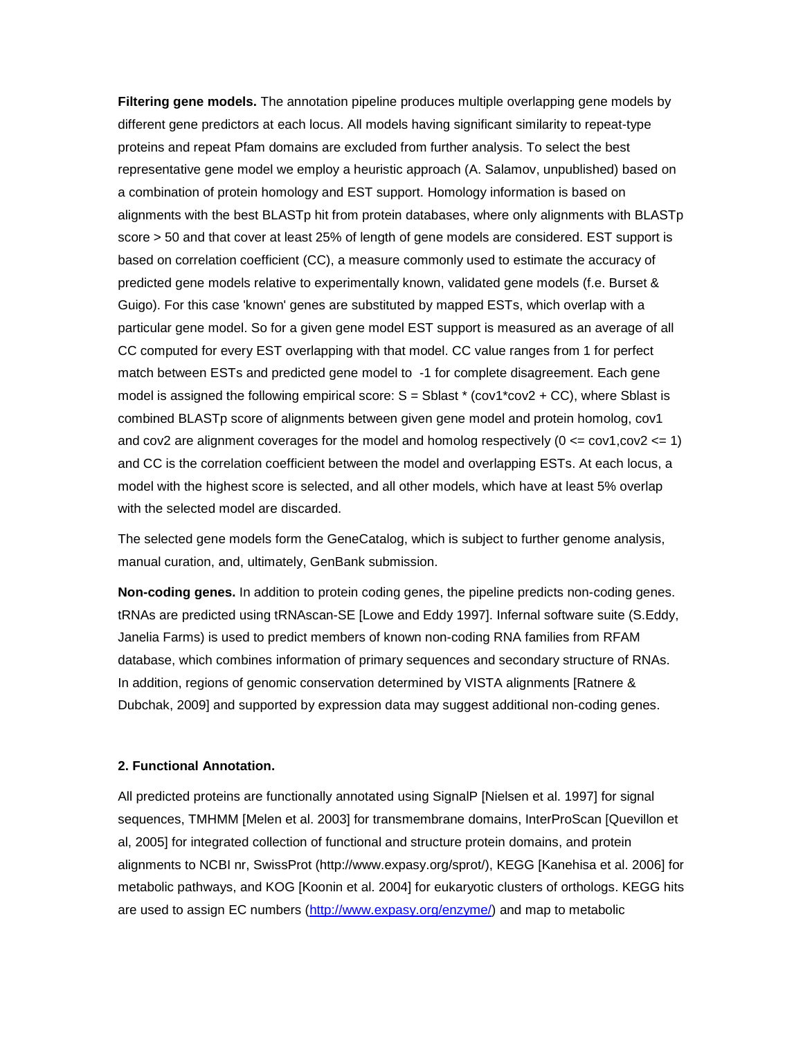**Filtering gene models.** The annotation pipeline produces multiple overlapping gene models by different gene predictors at each locus. All models having significant similarity to repeat-type proteins and repeat Pfam domains are excluded from further analysis. To select the best representative gene model we employ a heuristic approach (A. Salamov, unpublished) based on a combination of protein homology and EST support. Homology information is based on alignments with the best BLASTp hit from protein databases, where only alignments with BLASTp score > 50 and that cover at least 25% of length of gene models are considered. EST support is based on correlation coefficient (CC), a measure commonly used to estimate the accuracy of predicted gene models relative to experimentally known, validated gene models (f.e. Burset & Guigo). For this case 'known' genes are substituted by mapped ESTs, which overlap with a particular gene model. So for a given gene model EST support is measured as an average of all CC computed for every EST overlapping with that model. CC value ranges from 1 for perfect match between ESTs and predicted gene model to -1 for complete disagreement. Each gene model is assigned the following empirical score:  $S = S$  Sblast  $*$  (cov1 $*$ cov2 + CC), where Sblast is combined BLASTp score of alignments between given gene model and protein homolog, cov1 and cov2 are alignment coverages for the model and homolog respectively  $(0 \leq x \leq 0.001)$ and CC is the correlation coefficient between the model and overlapping ESTs. At each locus, a model with the highest score is selected, and all other models, which have at least 5% overlap with the selected model are discarded.

The selected gene models form the GeneCatalog, which is subject to further genome analysis, manual curation, and, ultimately, GenBank submission.

**Non-coding genes.** In addition to protein coding genes, the pipeline predicts non-coding genes. tRNAs are predicted using tRNAscan-SE [Lowe and Eddy 1997]. Infernal software suite (S.Eddy, Janelia Farms) is used to predict members of known non-coding RNA families from RFAM database, which combines information of primary sequences and secondary structure of RNAs. In addition, regions of genomic conservation determined by VISTA alignments [Ratnere & Dubchak, 2009] and supported by expression data may suggest additional non-coding genes.

## **2. Functional Annotation.**

All predicted proteins are functionally annotated using SignalP [Nielsen et al. 1997] for signal sequences, TMHMM [Melen et al. 2003] for transmembrane domains, InterProScan [Quevillon et al, 2005] for integrated collection of functional and structure protein domains, and protein alignments to NCBI nr, SwissProt (http://www.expasy.org/sprot/), KEGG [Kanehisa et al. 2006] for metabolic pathways, and KOG [Koonin et al. 2004] for eukaryotic clusters of orthologs. KEGG hits are used to assign EC numbers [\(http://www.expasy.org/enzyme/\)](http://www.expasy.org/enzyme/) and map to metabolic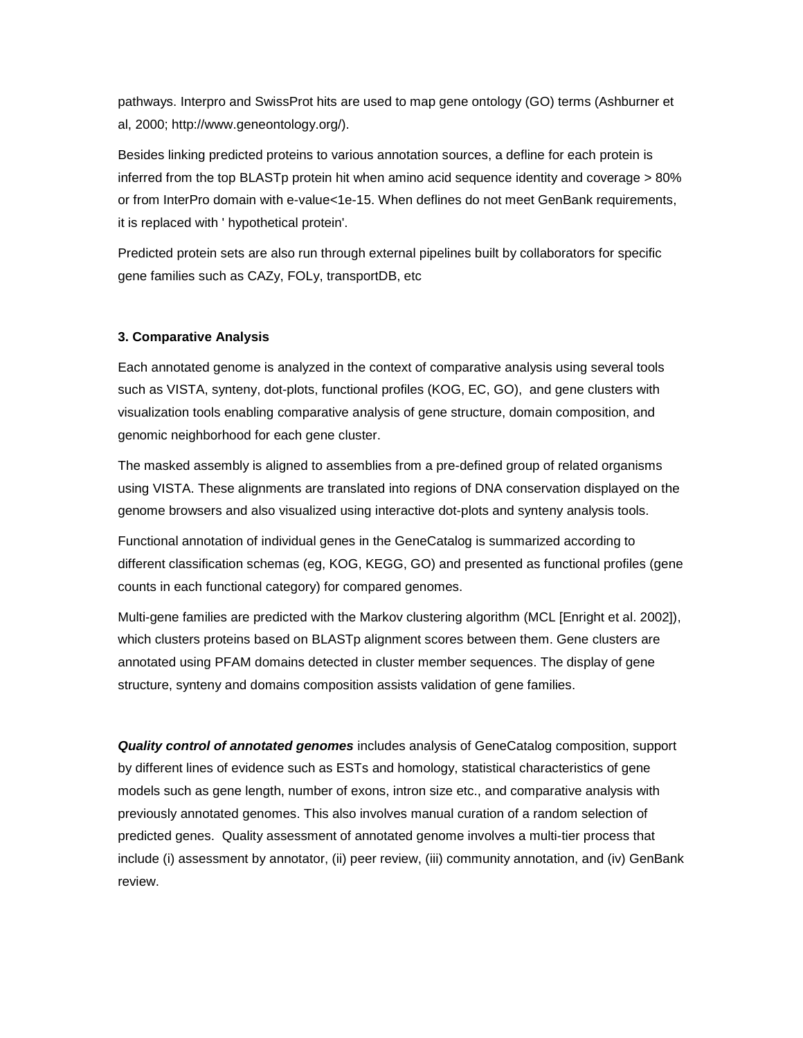pathways. Interpro and SwissProt hits are used to map gene ontology (GO) terms (Ashburner et al, 2000; http://www.geneontology.org/).

Besides linking predicted proteins to various annotation sources, a defline for each protein is inferred from the top BLASTp protein hit when amino acid sequence identity and coverage > 80% or from InterPro domain with e-value<1e-15. When deflines do not meet GenBank requirements, it is replaced with ' hypothetical protein'.

Predicted protein sets are also run through external pipelines built by collaborators for specific gene families such as CAZy, FOLy, transportDB, etc

# **3. Comparative Analysis**

Each annotated genome is analyzed in the context of comparative analysis using several tools such as VISTA, synteny, dot-plots, functional profiles (KOG, EC, GO), and gene clusters with visualization tools enabling comparative analysis of gene structure, domain composition, and genomic neighborhood for each gene cluster.

The masked assembly is aligned to assemblies from a pre-defined group of related organisms using VISTA. These alignments are translated into regions of DNA conservation displayed on the genome browsers and also visualized using interactive dot-plots and synteny analysis tools.

Functional annotation of individual genes in the GeneCatalog is summarized according to different classification schemas (eg, KOG, KEGG, GO) and presented as functional profiles (gene counts in each functional category) for compared genomes.

Multi-gene families are predicted with the Markov clustering algorithm (MCL [Enright et al. 2002]), which clusters proteins based on BLASTp alignment scores between them. Gene clusters are annotated using PFAM domains detected in cluster member sequences. The display of gene structure, synteny and domains composition assists validation of gene families.

*Quality control of annotated genomes* includes analysis of GeneCatalog composition, support by different lines of evidence such as ESTs and homology, statistical characteristics of gene models such as gene length, number of exons, intron size etc., and comparative analysis with previously annotated genomes. This also involves manual curation of a random selection of predicted genes. Quality assessment of annotated genome involves a multi-tier process that include (i) assessment by annotator, (ii) peer review, (iii) community annotation, and (iv) GenBank review.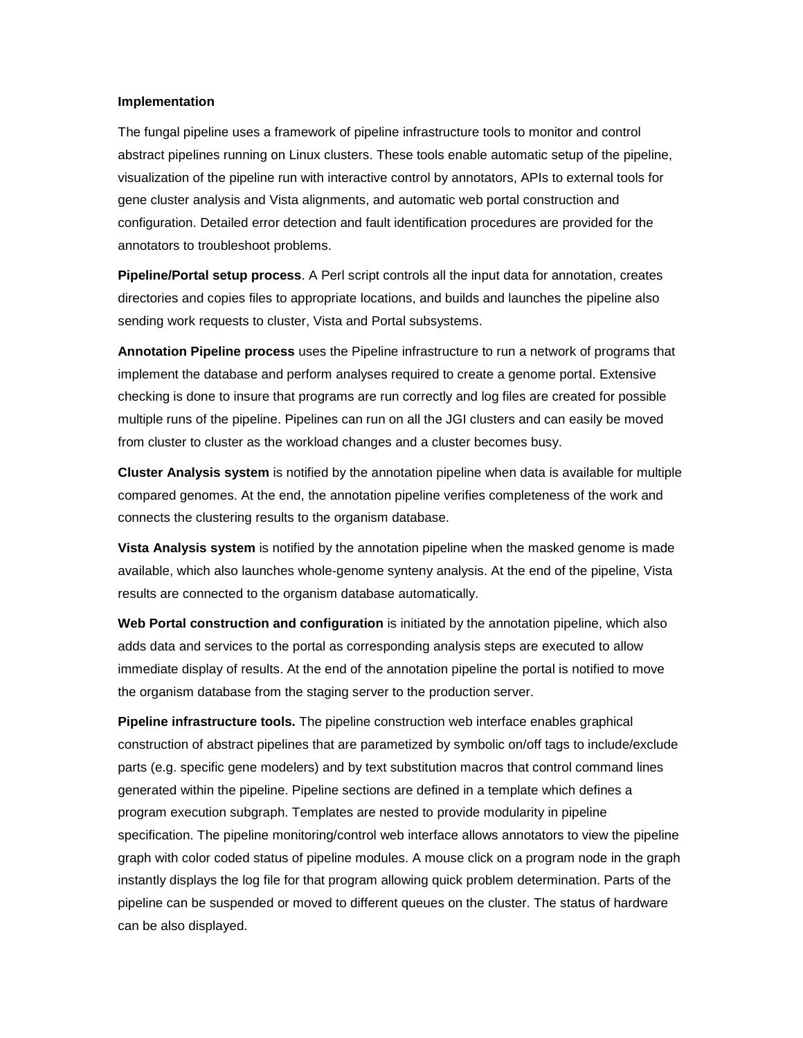## **Implementation**

The fungal pipeline uses a framework of pipeline infrastructure tools to monitor and control abstract pipelines running on Linux clusters. These tools enable automatic setup of the pipeline, visualization of the pipeline run with interactive control by annotators, APIs to external tools for gene cluster analysis and Vista alignments, and automatic web portal construction and configuration. Detailed error detection and fault identification procedures are provided for the annotators to troubleshoot problems.

**Pipeline/Portal setup process**. A Perl script controls all the input data for annotation, creates directories and copies files to appropriate locations, and builds and launches the pipeline also sending work requests to cluster, Vista and Portal subsystems.

**Annotation Pipeline process** uses the Pipeline infrastructure to run a network of programs that implement the database and perform analyses required to create a genome portal. Extensive checking is done to insure that programs are run correctly and log files are created for possible multiple runs of the pipeline. Pipelines can run on all the JGI clusters and can easily be moved from cluster to cluster as the workload changes and a cluster becomes busy.

**Cluster Analysis system** is notified by the annotation pipeline when data is available for multiple compared genomes. At the end, the annotation pipeline verifies completeness of the work and connects the clustering results to the organism database.

**Vista Analysis system** is notified by the annotation pipeline when the masked genome is made available, which also launches whole-genome synteny analysis. At the end of the pipeline, Vista results are connected to the organism database automatically.

**Web Portal construction and configuration** is initiated by the annotation pipeline, which also adds data and services to the portal as corresponding analysis steps are executed to allow immediate display of results. At the end of the annotation pipeline the portal is notified to move the organism database from the staging server to the production server.

**Pipeline infrastructure tools.** The pipeline construction web interface enables graphical construction of abstract pipelines that are parametized by symbolic on/off tags to include/exclude parts (e.g. specific gene modelers) and by text substitution macros that control command lines generated within the pipeline. Pipeline sections are defined in a template which defines a program execution subgraph. Templates are nested to provide modularity in pipeline specification. The pipeline monitoring/control web interface allows annotators to view the pipeline graph with color coded status of pipeline modules. A mouse click on a program node in the graph instantly displays the log file for that program allowing quick problem determination. Parts of the pipeline can be suspended or moved to different queues on the cluster. The status of hardware can be also displayed.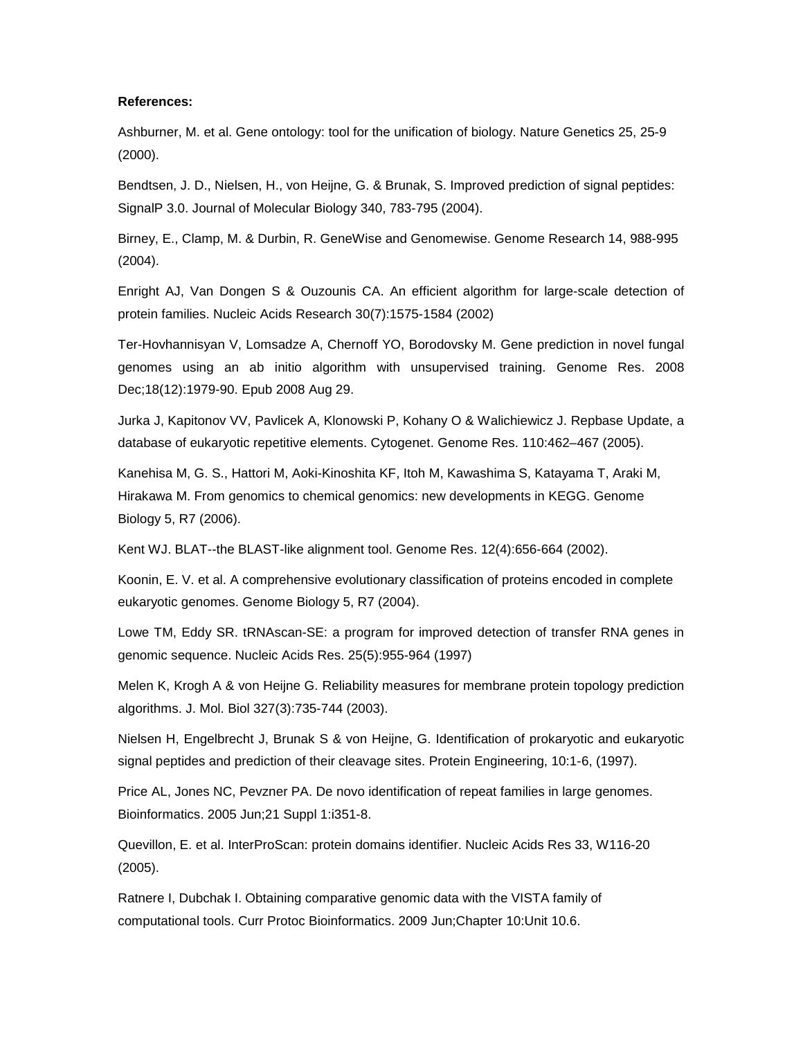## **References:**

Ashburner, M. et al. Gene ontology: tool for the unification of biology. Nature Genetics 25, 25-9 (2000).

Bendtsen, J. D., Nielsen, H., von Heijne, G. & Brunak, S. Improved prediction of signal peptides: SignalP 3.0. Journal of Molecular Biology 340, 783-795 (2004).

Birney, E., Clamp, M. & Durbin, R. GeneWise and Genomewise. Genome Research 14, 988-995 (2004).

Enright AJ, Van Dongen S & Ouzounis CA. An efficient algorithm for large-scale detection of protein families. Nucleic Acids Research 30(7):1575-1584 (2002)

Ter-Hovhannisyan V, Lomsadze A, Chernoff YO, Borodovsky M. Gene prediction in novel fungal genomes using an ab initio algorithm with unsupervised training. Genome Res. 2008 Dec;18(12):1979-90. Epub 2008 Aug 29.

Jurka J, Kapitonov VV, Pavlicek A, Klonowski P, Kohany O & Walichiewicz J. Repbase Update, a database of eukaryotic repetitive elements. Cytogenet. Genome Res. 110:462–467 (2005).

Kanehisa M, G. S., Hattori M, Aoki-Kinoshita KF, Itoh M, Kawashima S, Katayama T, Araki M, Hirakawa M. From genomics to chemical genomics: new developments in KEGG. Genome Biology 5, R7 (2006).

Kent WJ. BLAT--the BLAST-like alignment tool. Genome Res. 12(4):656-664 (2002).

Koonin, E. V. et al. A comprehensive evolutionary classification of proteins encoded in complete eukaryotic genomes. Genome Biology 5, R7 (2004).

Lowe TM, Eddy SR. tRNAscan-SE: a program for improved detection of transfer RNA genes in genomic sequence. Nucleic Acids Res. 25(5):955-964 (1997)

Melen K, Krogh A & von Heijne G. Reliability measures for membrane protein topology prediction algorithms. J. Mol. Biol 327(3):735-744 (2003).

Nielsen H, Engelbrecht J, Brunak S & von Heijne, G. Identification of prokaryotic and eukaryotic signal peptides and prediction of their cleavage sites. Protein Engineering, 10:1-6, (1997).

Price AL, Jones NC, Pevzner PA. De novo identification of repeat families in large genomes. Bioinformatics. 2005 Jun;21 Suppl 1:i351-8.

Quevillon, E. et al. InterProScan: protein domains identifier. Nucleic Acids Res 33, W116-20 (2005).

Ratnere I, Dubchak I. Obtaining comparative genomic data with the VISTA family of computational tools. Curr Protoc Bioinformatics. 2009 Jun;Chapter 10:Unit 10.6.